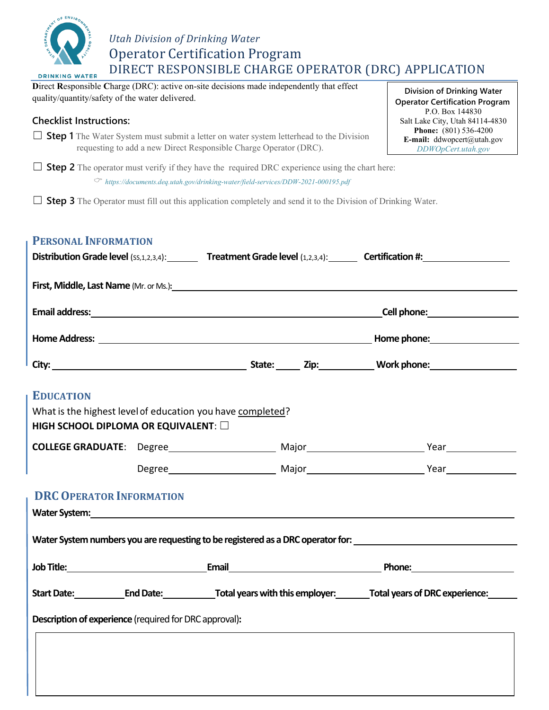

## *Utah Division of Drinking Water* Operator Certification Program DIRECT RESPONSIBLE CHARGE OPERATOR (DRC) APPLICATION

**D**irect **R**esponsible **C**harge (DRC): active on-site decisions made independently that effect quality/quantity/safety of the water delivered.

## **Checklist Instructions:**

□ **Step 1** The Water System must submit a letter on water system letterhead to the Division requesting to add a new Direct Responsible Charge Operator (DRC).

 $\Box$  **Step 2** The operator must verify if they have the required DRC experience using the chart here: *https://documents.deq.utah.gov/drinking-water/field-services/DDW-2021-000195.pdf*

 $\Box$  **Step 3** The Operator must fill out this application completely and send it to the Division of Drinking Water.

## **PERSONAL INFORMATION**

| <b>EDUCATION</b>                                                                                   |  |                                                               |                                                                                                                                                                                                                                |  |
|----------------------------------------------------------------------------------------------------|--|---------------------------------------------------------------|--------------------------------------------------------------------------------------------------------------------------------------------------------------------------------------------------------------------------------|--|
| What is the highest level of education you have completed?<br>HIGH SCHOOL DIPLOMA OR EQUIVALENT: 0 |  |                                                               |                                                                                                                                                                                                                                |  |
|                                                                                                    |  |                                                               |                                                                                                                                                                                                                                |  |
|                                                                                                    |  |                                                               |                                                                                                                                                                                                                                |  |
| <b>DRC OPERATOR INFORMATION</b>                                                                    |  |                                                               |                                                                                                                                                                                                                                |  |
|                                                                                                    |  |                                                               | Water System: Note and the System of the Contract of the Contract of the Contract of the Contract of the Contract of the Contract of the Contract of the Contract of the Contract of the Contract of the Contract of the Contr |  |
|                                                                                                    |  |                                                               | Water System numbers you are requesting to be registered as a DRC operator for:                                                                                                                                                |  |
|                                                                                                    |  |                                                               |                                                                                                                                                                                                                                |  |
|                                                                                                    |  |                                                               | Start Date: End Date: Total years with this employer: Total years of DRC experience:                                                                                                                                           |  |
|                                                                                                    |  | <b>Description of experience</b> (required for DRC approval): |                                                                                                                                                                                                                                |  |

**Division of Drinking Water Operator Certification Program** P.O. Box 144830 Salt Lake City, Utah 84114-4830 **Phone:** (801) 536-4200 **E-mail:** ddwopcert@utah.gov *DDWOpCert.utah.gov*